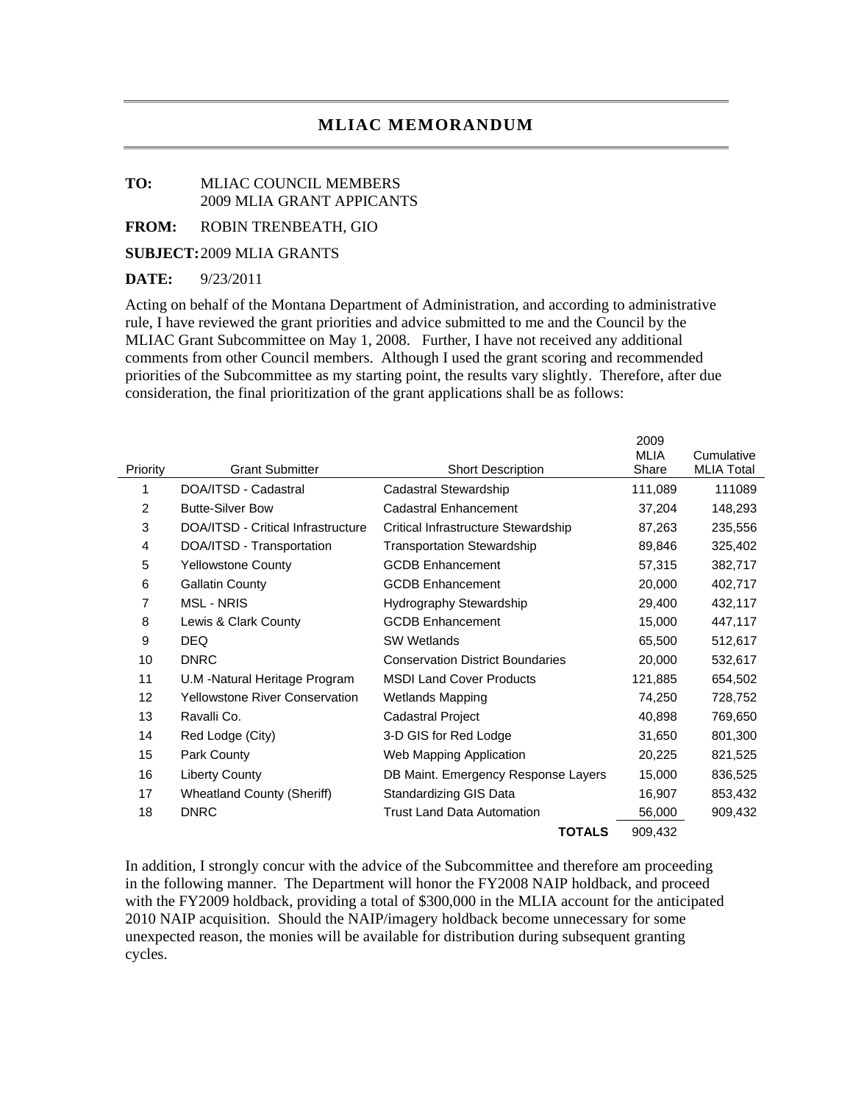## **MLIAC MEMORANDUM**

## **TO:** MLIAC COUNCIL MEMBERS 2009 MLIA GRANT APPICANTS

**FROM:** ROBIN TRENBEATH, GIO

**SUBJECT:** 2009 MLIA GRANTS

## **DATE:** 9/23/2011

Acting on behalf of the Montana Department of Administration, and according to administrative rule, I have reviewed the grant priorities and advice submitted to me and the Council by the MLIAC Grant Subcommittee on May 1, 2008. Further, I have not received any additional comments from other Council members. Although I used the grant scoring and recommended priorities of the Subcommittee as my starting point, the results vary slightly. Therefore, after due consideration, the final prioritization of the grant applications shall be as follows:

| Priority       | <b>Grant Submitter</b>                | <b>Short Description</b>                | 2009<br><b>MLIA</b><br>Share | Cumulative<br><b>MLIA Total</b> |
|----------------|---------------------------------------|-----------------------------------------|------------------------------|---------------------------------|
| 1              | DOA/ITSD - Cadastral                  | Cadastral Stewardship                   | 111,089                      | 111089                          |
| $\overline{2}$ | <b>Butte-Silver Bow</b>               | Cadastral Enhancement                   | 37,204                       | 148,293                         |
| 3              | DOA/ITSD - Critical Infrastructure    | Critical Infrastructure Stewardship     | 87,263                       | 235,556                         |
| 4              | DOA/ITSD - Transportation             | <b>Transportation Stewardship</b>       | 89,846                       | 325,402                         |
| 5              | <b>Yellowstone County</b>             | <b>GCDB Enhancement</b>                 | 57,315                       | 382,717                         |
| 6              | <b>Gallatin County</b>                | <b>GCDB Enhancement</b>                 | 20,000                       | 402,717                         |
| 7              | <b>MSL - NRIS</b>                     | Hydrography Stewardship                 | 29,400                       | 432,117                         |
| 8              | Lewis & Clark County                  | <b>GCDB Enhancement</b>                 | 15,000                       | 447,117                         |
| 9              | <b>DEQ</b>                            | <b>SW Wetlands</b>                      | 65,500                       | 512,617                         |
| 10             | <b>DNRC</b>                           | <b>Conservation District Boundaries</b> | 20,000                       | 532,617                         |
| 11             | U.M -Natural Heritage Program         | <b>MSDI Land Cover Products</b>         | 121,885                      | 654,502                         |
| 12             | <b>Yellowstone River Conservation</b> | <b>Wetlands Mapping</b>                 | 74,250                       | 728,752                         |
| 13             | Ravalli Co.                           | Cadastral Project                       | 40.898                       | 769,650                         |
| 14             | Red Lodge (City)                      | 3-D GIS for Red Lodge                   | 31,650                       | 801,300                         |
| 15             | Park County                           | Web Mapping Application                 | 20,225                       | 821,525                         |
| 16             | <b>Liberty County</b>                 | DB Maint. Emergency Response Layers     | 15,000                       | 836,525                         |
| 17             | <b>Wheatland County (Sheriff)</b>     | Standardizing GIS Data                  | 16,907                       | 853,432                         |
| 18             | <b>DNRC</b>                           | <b>Trust Land Data Automation</b>       | 56,000                       | 909,432                         |
|                |                                       | <b>TOTALS</b>                           | 909,432                      |                                 |

In addition, I strongly concur with the advice of the Subcommittee and therefore am proceeding in the following manner. The Department will honor the FY2008 NAIP holdback, and proceed with the FY2009 holdback, providing a total of \$300,000 in the MLIA account for the anticipated 2010 NAIP acquisition. Should the NAIP/imagery holdback become unnecessary for some unexpected reason, the monies will be available for distribution during subsequent granting cycles.